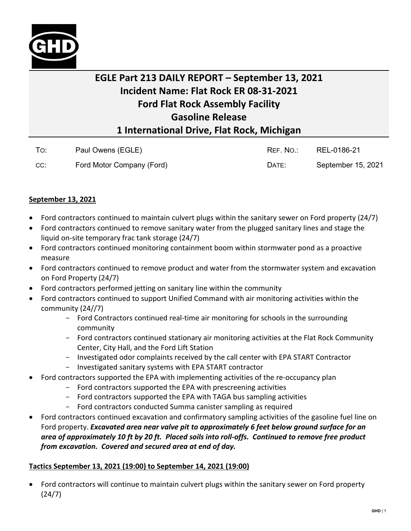

## **EGLE Part 213 DAILY REPORT – September 13, 2021 Incident Name: Flat Rock ER 08-31-2021 Ford Flat Rock Assembly Facility Gasoline Release 1 International Drive, Flat Rock, Michigan**

| To: | Paul Owens (EGLE)         | REF. NO.: | REL-0186-21        |
|-----|---------------------------|-----------|--------------------|
| CC: | Ford Motor Company (Ford) | DATE:     | September 15, 2021 |

## **September 13, 2021**

- Ford contractors continued to maintain culvert plugs within the sanitary sewer on Ford property (24/7)
- Ford contractors continued to remove sanitary water from the plugged sanitary lines and stage the liquid on-site temporary frac tank storage (24/7)
- Ford contractors continued monitoring containment boom within stormwater pond as a proactive measure
- Ford contractors continued to remove product and water from the stormwater system and excavation on Ford Property (24/7)
- Ford contractors performed jetting on sanitary line within the community
- Ford contractors continued to support Unified Command with air monitoring activities within the community (24//7)
	- Ford Contractors continued real-time air monitoring for schools in the surrounding community
	- Ford contractors continued stationary air monitoring activities at the Flat Rock Community Center, City Hall, and the Ford Lift Station
	- Investigated odor complaints received by the call center with EPA START Contractor
	- Investigated sanitary systems with EPA START contractor
- Ford contractors supported the EPA with implementing activities of the re-occupancy plan
	- Ford contractors supported the EPA with prescreening activities
	- Ford contractors supported the EPA with TAGA bus sampling activities
	- Ford contractors conducted Summa canister sampling as required
- Ford contractors continued excavation and confirmatory sampling activities of the gasoline fuel line on Ford property. *Excavated area near valve pit to approximately 6 feet below ground surface for an area of approximately 10 ft by 20 ft. Placed soils into roll-offs. Continued to remove free product from excavation. Covered and secured area at end of day.*

## **Tactics September 13, 2021 (19:00) to September 14, 2021 (19:00)**

• Ford contractors will continue to maintain culvert plugs within the sanitary sewer on Ford property (24/7)